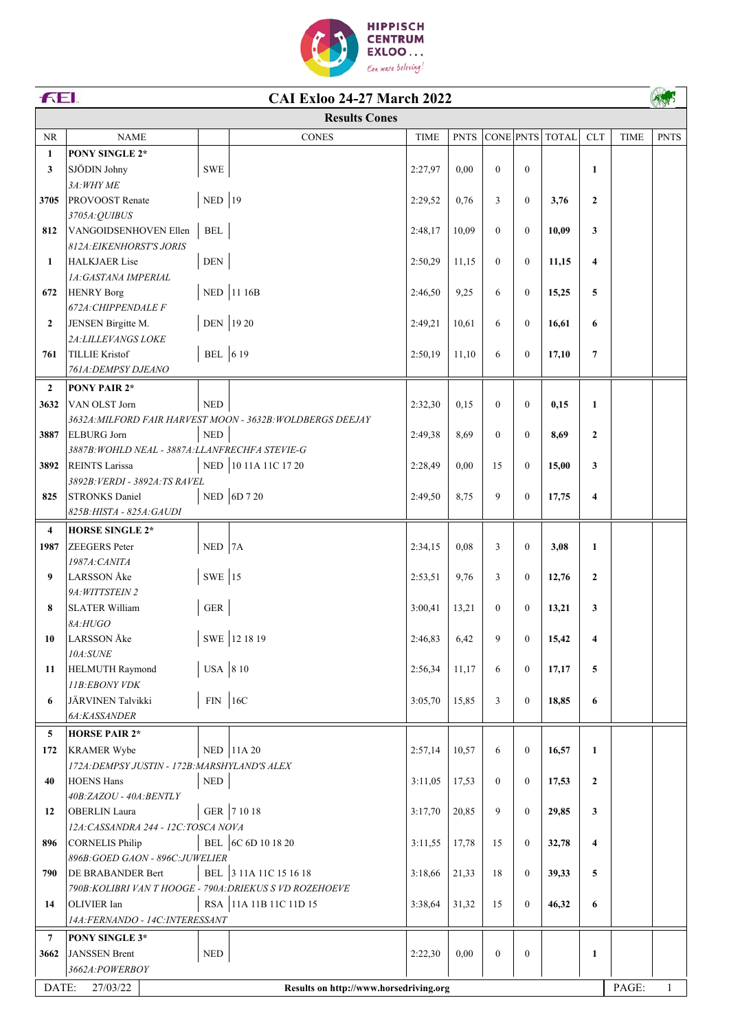

|                | FEI.<br><b>CAI Exloo 24-27 March 2022</b>                             |                             |                                                            |             |             |                |                  |                 |                |             |             |
|----------------|-----------------------------------------------------------------------|-----------------------------|------------------------------------------------------------|-------------|-------------|----------------|------------------|-----------------|----------------|-------------|-------------|
|                |                                                                       |                             | <b>Results Cones</b>                                       |             |             |                |                  |                 |                |             |             |
| NR             | <b>NAME</b>                                                           |                             | <b>CONES</b>                                               | <b>TIME</b> | <b>PNTS</b> |                |                  | CONE PNTS TOTAL | <b>CLT</b>     | <b>TIME</b> | <b>PNTS</b> |
| $\mathbf{1}$   | PONY SINGLE 2*                                                        |                             |                                                            |             |             |                |                  |                 |                |             |             |
| 3              | SJÖDIN Johny                                                          | <b>SWE</b>                  |                                                            | 2:27,97     | 0,00        | $\overline{0}$ | $\boldsymbol{0}$ |                 | $\mathbf{1}$   |             |             |
|                | 3A: WHY ME                                                            |                             |                                                            |             |             |                |                  |                 |                |             |             |
| 3705           | <b>PROVOOST</b> Renate                                                | NED $ 19$                   |                                                            | 2:29,52     | 0,76        | 3              | $\overline{0}$   | 3,76            | $\overline{2}$ |             |             |
|                | 3705A:QUIBUS                                                          |                             |                                                            |             |             |                |                  |                 |                |             |             |
| 812            | VANGOIDSENHOVEN Ellen                                                 | $\operatorname{BEL}$        |                                                            | 2:48,17     | 10,09       | $\overline{0}$ | $\overline{0}$   | 10,09           | 3              |             |             |
|                | <b>812A: EIKENHORST'S JORIS</b>                                       |                             |                                                            |             |             |                |                  |                 |                |             |             |
| 1              | <b>HALKJAER Lise</b>                                                  | $\ensuremath{\mathsf{DEN}}$ |                                                            | 2:50,29     | 11,15       | $\overline{0}$ | $\boldsymbol{0}$ | 11,15           | 4              |             |             |
|                | 1A: GASTANA IMPERIAL                                                  |                             |                                                            |             |             |                |                  |                 |                |             |             |
| 672            | <b>HENRY Borg</b>                                                     |                             | NED 11 16B                                                 | 2:46,50     | 9,25        | 6              | $\boldsymbol{0}$ | 15,25           | 5              |             |             |
|                | 672A: CHIPPENDALE F                                                   |                             |                                                            |             |             |                |                  |                 |                |             |             |
| $\mathbf{2}$   | JENSEN Birgitte M.                                                    | DEN 1920                    |                                                            | 2:49,21     | 10,61       | 6              | $\boldsymbol{0}$ | 16,61           | 6              |             |             |
|                | 2A: LILLEVANGS LOKE                                                   |                             |                                                            |             |             |                |                  |                 |                |             |             |
| 761            | <b>TILLIE Kristof</b><br>761A: DEMPSY DJEANO                          | BEL 619                     |                                                            | 2:50,19     | 11,10       | 6              | $\overline{0}$   | 17,10           | $\overline{7}$ |             |             |
|                |                                                                       |                             |                                                            |             |             |                |                  |                 |                |             |             |
| $\overline{2}$ | PONY PAIR 2*                                                          |                             |                                                            |             |             |                |                  |                 |                |             |             |
| 3632           | VAN OLST Jorn                                                         | $\ensuremath{\mathsf{NED}}$ |                                                            | 2:32,30     | 0,15        | $\mathbf{0}$   | $\boldsymbol{0}$ | 0,15            | $\mathbf{1}$   |             |             |
|                |                                                                       |                             | 3632A: MILFORD FAIR HARVEST MOON - 3632B: WOLDBERGS DEEJAY |             |             |                |                  |                 |                |             |             |
| 3887           | <b>ELBURG</b> Jorn<br>3887B: WOHLD NEAL - 3887A: LLANFRECHFA STEVIE-G | $\ensuremath{\mathsf{NED}}$ |                                                            | 2:49,38     | 8,69        | $\overline{0}$ | $\overline{0}$   | 8,69            | $\mathbf{2}$   |             |             |
| 3892           | <b>REINTS</b> Larissa                                                 | NED                         | 10 11A 11C 17 20                                           | 2:28,49     | 0,00        | 15             | $\overline{0}$   | 15,00           | 3              |             |             |
|                | 3892B: VERDI - 3892A: TS RAVEL                                        |                             |                                                            |             |             |                |                  |                 |                |             |             |
| 825            | <b>STRONKS Daniel</b>                                                 |                             | NED 6D 7 20                                                | 2:49,50     | 8,75        | 9              | $\overline{0}$   | 17,75           | 4              |             |             |
|                | 825B: HISTA - 825A: GAUDI                                             |                             |                                                            |             |             |                |                  |                 |                |             |             |
| $\overline{4}$ | <b>HORSE SINGLE 2*</b>                                                |                             |                                                            |             |             |                |                  |                 |                |             |             |
| 1987           | <b>ZEEGERS</b> Peter                                                  | $NED$ 7A                    |                                                            | 2:34,15     | 0,08        | $\mathfrak{Z}$ | $\overline{0}$   | 3,08            | $\mathbf{1}$   |             |             |
|                | 1987A: CANITA                                                         |                             |                                                            |             |             |                |                  |                 |                |             |             |
| 9              | <b>LARSSON</b> Åke                                                    | SWE $ 15$                   |                                                            | 2:53,51     | 9,76        | 3              | $\mathbf{0}$     | 12,76           | $\mathbf{2}$   |             |             |
|                | 9A: WITTSTEIN 2                                                       |                             |                                                            |             |             |                |                  |                 |                |             |             |
| 8              | <b>SLATER William</b>                                                 | ${\tt GER}$                 |                                                            | 3:00,41     | 13,21       | $\mathbf{0}$   | $\mathbf{0}$     | 13,21           | 3              |             |             |
|                | 8A:HUGO                                                               |                             |                                                            |             |             |                |                  |                 |                |             |             |
| 10             | LARSSON Åke                                                           |                             | SWE 12 18 19                                               | 2:46,83     | 6,42        | 9              | $\boldsymbol{0}$ | 15,42           | 4              |             |             |
|                | 10A:SUNE                                                              |                             |                                                            |             |             |                |                  |                 |                |             |             |
| 11             | <b>HELMUTH Raymond</b>                                                | USA 8 10                    |                                                            | 2:56,34     | 11,17       | 6              | $\overline{0}$   | 17,17           | 5              |             |             |
|                | 11B:EBONY VDK                                                         |                             |                                                            |             |             |                |                  |                 |                |             |             |
| 6              | JÄRVINEN Talvikki                                                     | $FIN$   16C                 |                                                            | 3:05,70     | 15,85       | 3              | $\overline{0}$   | 18,85           | 6              |             |             |
|                | 6A:KASSANDER                                                          |                             |                                                            |             |             |                |                  |                 |                |             |             |
| 5              | <b>HORSE PAIR 2*</b>                                                  |                             |                                                            |             |             |                |                  |                 |                |             |             |
| 172            | <b>KRAMER Wybe</b>                                                    |                             | NED 11A 20                                                 | 2:57,14     | 10,57       | 6              | $\mathbf{0}$     | 16,57           | 1              |             |             |
|                | 172A: DEMPSY JUSTIN - 172B: MARSHYLAND'S ALEX                         |                             |                                                            |             |             |                |                  |                 |                |             |             |
| 40             | <b>HOENS Hans</b>                                                     | $\ensuremath{\mathsf{NED}}$ |                                                            | 3:11,05     | 17,53       | $\overline{0}$ | $\overline{0}$   | 17,53           | $\mathbf{2}$   |             |             |
|                | 40B:ZAZOU - 40A:BENTLY                                                |                             |                                                            |             |             |                |                  |                 |                |             |             |
| 12             | <b>OBERLIN</b> Laura                                                  |                             | GER 7 10 18                                                | 3:17,70     | 20,85       | 9              | $\boldsymbol{0}$ | 29,85           | 3              |             |             |
|                | 12A: CASSANDRA 244 - 12C: TOSCA NOVA                                  |                             |                                                            |             |             |                |                  |                 |                |             |             |
| 896            | <b>CORNELIS Philip</b>                                                | <b>BEL</b>                  | 6C 6D 10 18 20                                             | 3:11,55     | 17,78       | 15             | $\boldsymbol{0}$ | 32,78           | 4              |             |             |
|                | 896B: GOED GAON - 896C: JUWELIER                                      |                             |                                                            |             |             |                |                  |                 |                |             |             |
| 790            | DE BRABANDER Bert                                                     |                             | BEL 3 11A 11C 15 16 18                                     | 3:18,66     | 21,33       | 18             | $\boldsymbol{0}$ | 39,33           | 5              |             |             |
|                | 790B: KOLIBRI VAN T HOOGE - 790A: DRIEKUS S VD ROZEHOEVE              |                             |                                                            |             |             |                |                  |                 |                |             |             |
| 14             | OLIVIER Ian                                                           |                             | RSA 11A 11B 11C 11D 15                                     | 3:38,64     | 31,32       | 15             | $\boldsymbol{0}$ | 46,32           | 6              |             |             |
|                | 14A:FERNANDO - 14C:INTERESSANT                                        |                             |                                                            |             |             |                |                  |                 |                |             |             |
| $\overline{7}$ | PONY SINGLE 3*                                                        |                             |                                                            |             |             |                |                  |                 |                |             |             |
| 3662           | <b>JANSSEN</b> Brent                                                  | <b>NED</b>                  |                                                            | 2:22,30     | 0.00        | $\mathbf{0}$   | $\boldsymbol{0}$ |                 | 1              |             |             |
|                | 3662A:POWERBOY                                                        |                             |                                                            |             |             |                |                  |                 |                |             |             |
|                | DATE:<br>PAGE:<br>27/03/22<br>Results on http://www.horsedriving.org  |                             |                                                            |             |             |                |                  |                 |                |             | 1           |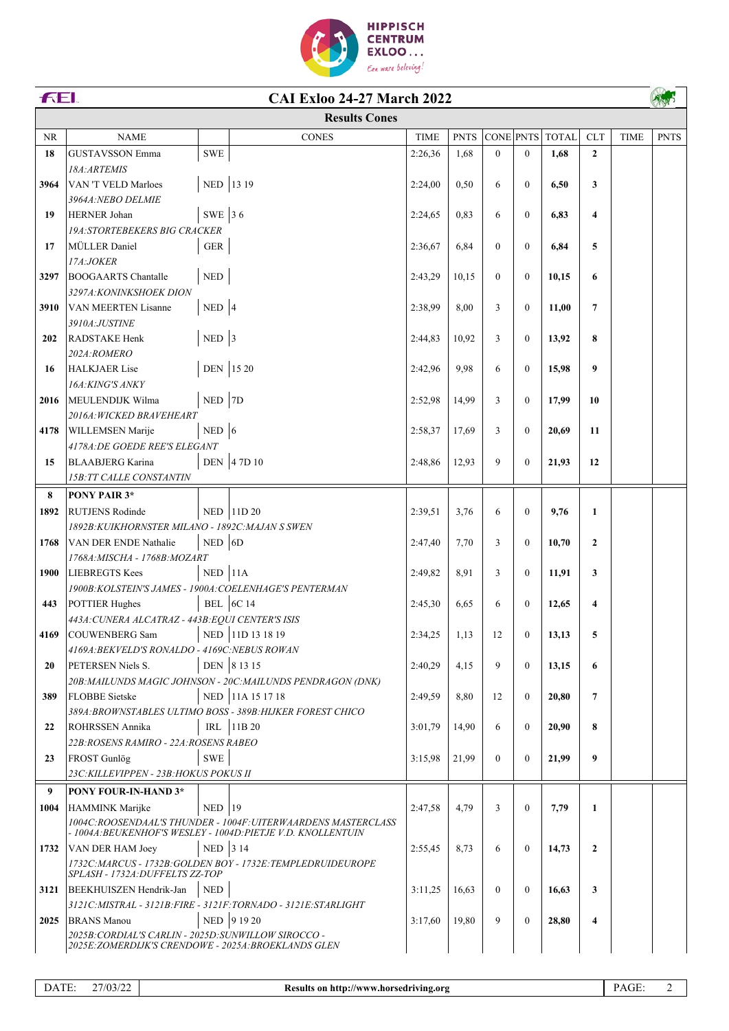

| FEI.      | <b>CAI Exloo 24-27 March 2022</b>                                                                            |                             |                                                                      |             |             |           |                |              |              |             |             |
|-----------|--------------------------------------------------------------------------------------------------------------|-----------------------------|----------------------------------------------------------------------|-------------|-------------|-----------|----------------|--------------|--------------|-------------|-------------|
|           |                                                                                                              |                             | <b>Results Cones</b>                                                 |             |             |           |                |              |              |             |             |
| <b>NR</b> | <b>NAME</b>                                                                                                  |                             | <b>CONES</b>                                                         | <b>TIME</b> | <b>PNTS</b> | CONE PNTS |                | <b>TOTAL</b> | <b>CLT</b>   | <b>TIME</b> | <b>PNTS</b> |
| 18        | <b>GUSTAVSSON Emma</b>                                                                                       | ${\tt SWE}$                 |                                                                      | 2:26,36     | 1,68        | $\Omega$  | $\overline{0}$ | 1,68         | $\mathbf{2}$ |             |             |
|           | 18A: ARTEMIS                                                                                                 |                             |                                                                      |             |             |           |                |              |              |             |             |
| 3964      | <b>VAN 'T VELD Marloes</b>                                                                                   | NED 13 19                   |                                                                      | 2:24,00     | 0,50        | 6         | $\overline{0}$ | 6,50         | 3            |             |             |
|           | 3964A: NEBO DELMIE                                                                                           |                             |                                                                      |             |             |           |                |              |              |             |             |
| 19        | HERNER Johan                                                                                                 | SWE 36                      |                                                                      | 2:24,65     | 0.83        | 6         | $\theta$       | 6,83         | 4            |             |             |
|           | <b>19A: STORTEBEKERS BIG CRACKER</b>                                                                         |                             |                                                                      |             |             |           |                |              |              |             |             |
| 17        | MÜLLER Daniel                                                                                                | ${\tt GER}$                 |                                                                      | 2:36,67     | 6,84        | $\theta$  | $\theta$       | 6,84         | 5            |             |             |
| 3297      | 17A:JOKER<br><b>BOOGAARTS Chantalle</b>                                                                      | $\ensuremath{\mathsf{NED}}$ |                                                                      | 2:43,29     | 10,15       | $\theta$  | $\mathbf{0}$   | 10,15        | 6            |             |             |
|           | 3297A: KONINKSHOEK DION                                                                                      |                             |                                                                      |             |             |           |                |              |              |             |             |
| 3910      | VAN MEERTEN Lisanne                                                                                          | $NED$ 4                     |                                                                      | 2:38,99     | 8,00        | 3         | $\mathbf{0}$   | 11,00        | 7            |             |             |
|           | 3910A:JUSTINE                                                                                                |                             |                                                                      |             |             |           |                |              |              |             |             |
| 202       | <b>RADSTAKE Henk</b>                                                                                         | $NED$ 3                     |                                                                      | 2:44,83     | 10,92       | 3         | $\overline{0}$ | 13,92        | 8            |             |             |
|           | 202A:ROMERO                                                                                                  |                             |                                                                      |             |             |           |                |              |              |             |             |
| 16        | <b>HALKJAER Lise</b>                                                                                         | DEN 15 20                   |                                                                      | 2:42,96     | 9,98        | 6         | $\mathbf{0}$   | 15,98        | 9            |             |             |
|           | 16A: KING'S ANKY                                                                                             |                             |                                                                      |             |             |           |                |              |              |             |             |
| 2016      | MEULENDIJK Wilma                                                                                             | NED 7D                      |                                                                      | 2:52,98     | 14,99       | 3         | $\mathbf{0}$   | 17,99        | 10           |             |             |
|           | 2016A: WICKED BRAVEHEART                                                                                     |                             |                                                                      |             |             |           |                |              |              |             |             |
| 4178      | <b>WILLEMSEN Marije</b>                                                                                      | $NED$ 6                     |                                                                      | 2:58.37     | 17,69       | 3         | $\mathbf{0}$   | 20,69        | 11           |             |             |
|           | 4178A: DE GOEDE REE'S ELEGANT                                                                                |                             |                                                                      |             |             |           |                |              |              |             |             |
| 15        | BLAABJERG Karina                                                                                             |                             | DEN 47D 10                                                           | 2:48,86     | 12,93       | 9         | $\Omega$       | 21,93        | 12           |             |             |
|           | <b>15B: TT CALLE CONSTANTIN</b>                                                                              |                             |                                                                      |             |             |           |                |              |              |             |             |
| 8         | PONY PAIR 3*                                                                                                 |                             |                                                                      |             |             |           |                |              |              |             |             |
| 1892      | <b>RUTJENS Rodinde</b>                                                                                       |                             | NED 11D 20                                                           | 2:39,51     | 3,76        | 6         | $\mathbf{0}$   | 9,76         | $\mathbf{1}$ |             |             |
| 1768      | 1892B: KUIKHORNSTER MILANO - 1892C: MAJAN S SWEN<br>VAN DER ENDE Nathalie                                    | $NED$ 6D                    |                                                                      | 2:47,40     | 7,70        | 3         | $\mathbf{0}$   | 10,70        | $\mathbf{2}$ |             |             |
|           | 1768A: MISCHA - 1768B: MOZART                                                                                |                             |                                                                      |             |             |           |                |              |              |             |             |
| 1900      | LIEBREGTS Kees                                                                                               | $NED$   11A                 |                                                                      | 2:49,82     | 8,91        | 3         | $\Omega$       | 11,91        | 3            |             |             |
|           | 1900B: KOLSTEIN'S JAMES - 1900A: COELENHAGE'S PENTERMAN                                                      |                             |                                                                      |             |             |           |                |              |              |             |             |
| 443       | POTTIER Hughes                                                                                               |                             | <b>BEL</b>   6C 14                                                   | 2:45,30     | 6,65        | 6         | $\Omega$       | 12,65        | 4            |             |             |
|           | 443A: CUNERA ALCATRAZ - 443B: EQUI CENTER'S ISIS                                                             |                             |                                                                      |             |             |           |                |              |              |             |             |
|           | 4169 COUWENBERG Sam                                                                                          |                             | NED 11D 13 18 19                                                     | 2:34,25     | 1,13        | 12        | $\overline{0}$ | 13,13        | 5            |             |             |
|           | 4169A: BEKVELD'S RONALDO - 4169C: NEBUS ROWAN                                                                |                             |                                                                      |             |             |           |                |              |              |             |             |
| 20        | PETERSEN Niels S.                                                                                            |                             | DEN 8 13 15                                                          | 2:40,29     | 4,15        | 9         | $\mathbf{0}$   | 13,15        | 6            |             |             |
|           |                                                                                                              |                             | 20B: MAILUNDS MAGIC JOHNSON - 20C: MAILUNDS PENDRAGON (DNK)          |             |             |           |                |              |              |             |             |
| 389       | <b>FLOBBE</b> Sietske                                                                                        |                             | NED 11A 15 17 18                                                     | 2:49,59     | 8,80        | 12        | $\Omega$       | 20,80        | 7            |             |             |
| 22        | ROHRSSEN Annika                                                                                              | IRL                         | 389A: BROWNSTABLES ULTIMO BOSS - 389B: HIJKER FOREST CHICO<br>11B 20 | 3:01.79     | 14,90       | 6         | $\theta$       | 20,90        | 8            |             |             |
|           | 22B: ROSENS RAMIRO - 22A: ROSENS RABEO                                                                       |                             |                                                                      |             |             |           |                |              |              |             |             |
| 23        | FROST Gunlög                                                                                                 | SWE                         |                                                                      | 3:15,98     | 21,99       | $\theta$  | $\mathbf{0}$   | 21,99        | 9            |             |             |
|           | 23C: KILLEVIPPEN - 23B: HOKUS POKUS II                                                                       |                             |                                                                      |             |             |           |                |              |              |             |             |
| 9         | <b>PONY FOUR-IN-HAND 3*</b>                                                                                  |                             |                                                                      |             |             |           |                |              |              |             |             |
| 1004      | HAMMINK Marijke                                                                                              | $NED$   19                  |                                                                      | 2:47,58     | 4,79        | 3         | $\Omega$       | 7,79         | 1            |             |             |
|           |                                                                                                              |                             | 1004C:ROOSENDAAL'S THUNDER - 1004F:UITERWAARDENS MASTERCLASS         |             |             |           |                |              |              |             |             |
|           |                                                                                                              |                             | - 1004A:BEUKENHOF'S WESLEY - 1004D:PIETJE V.D. KNOLLENTUIN           |             |             |           |                |              |              |             |             |
| 1732      | VAN DER HAM Joey                                                                                             | NED 3 14                    |                                                                      | 2:55,45     | 8,73        | 6         | $\Omega$       | 14,73        | $\mathbf{2}$ |             |             |
|           | SPLASH - 1732A: DUFFELTS ZZ-TOP                                                                              |                             | 1732C: MARCUS - 1732B: GOLDEN BOY - 1732E: TEMPLEDRUIDEUROPE         |             |             |           |                |              |              |             |             |
| 3121      | BEEKHUISZEN Hendrik-Jan                                                                                      | <b>NED</b>                  |                                                                      | 3:11,25     | 16,63       | $\theta$  | $\mathbf{0}$   | 16,63        | 3            |             |             |
|           |                                                                                                              |                             | 3121C: MISTRAL - 3121B: FIRE - 3121F: TORNADO - 3121E: STARLIGHT     |             |             |           |                |              |              |             |             |
| 2025      | <b>BRANS</b> Manou                                                                                           |                             | NED 9 19 20                                                          | 3:17,60     | 19,80       | 9         | $\mathbf{0}$   | 28,80        | 4            |             |             |
|           | 2025B: CORDIAL'S CARLIN - 2025D: SUNWILLOW SIROCCO -<br>2025E: ZOMERDIJK'S CRENDOWE - 2025A: BROEKLANDS GLEN |                             |                                                                      |             |             |           |                |              |              |             |             |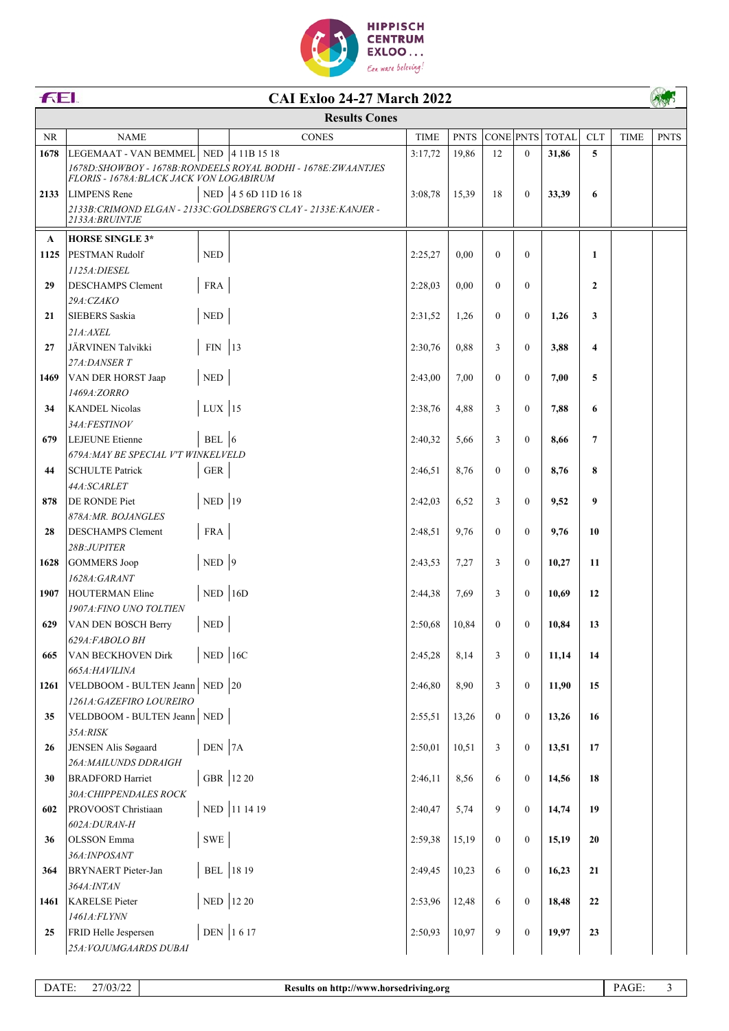

| FEI.         |                                                  |                             | <b>CAI Exloo 24-27 March 2022</b>                                |             |             |                |                  |              |                |             |             |
|--------------|--------------------------------------------------|-----------------------------|------------------------------------------------------------------|-------------|-------------|----------------|------------------|--------------|----------------|-------------|-------------|
|              |                                                  |                             | <b>Results Cones</b>                                             |             |             |                |                  |              |                |             |             |
| <b>NR</b>    | <b>NAME</b>                                      |                             | <b>CONES</b>                                                     | <b>TIME</b> | <b>PNTS</b> | CONE PNTS      |                  | <b>TOTAL</b> | <b>CLT</b>     | <b>TIME</b> | <b>PNTS</b> |
| 1678         | LEGEMAAT - VAN BEMMEL NED 4 11B 15 18            |                             |                                                                  | 3:17,72     | 19,86       | 12             | $\mathbf{0}$     | 31,86        | 5              |             |             |
|              | FLORIS - 1678A: BLACK JACK VON LOGABIRUM         |                             | 1678D: SHOWBOY - 1678B: RONDEELS ROYAL BODHI - 1678E: ZWAANTJES  |             |             |                |                  |              |                |             |             |
| 2133         | <b>LIMPENS</b> Rene                              |                             | NED 4 5 6D 11D 16 18                                             | 3:08,78     | 15,39       | 18             | $\mathbf{0}$     | 33,39        | 6              |             |             |
|              |                                                  |                             | 2133B: CRIMOND ELGAN - 2133C: GOLDSBERG'S CLAY - 2133E: KANJER - |             |             |                |                  |              |                |             |             |
|              | 2133A: BRUINTJE                                  |                             |                                                                  |             |             |                |                  |              |                |             |             |
| $\mathbf{A}$ | <b>HORSE SINGLE 3*</b>                           |                             |                                                                  |             |             |                |                  |              |                |             |             |
| 1125         | PESTMAN Rudolf                                   | $\ensuremath{\mathsf{NED}}$ |                                                                  | 2:25,27     | 0,00        | $\mathbf{0}$   | $\mathbf{0}$     |              | 1              |             |             |
|              | 1125A: DIESEL                                    |                             |                                                                  |             |             |                |                  |              |                |             |             |
| 29           | <b>DESCHAMPS Clement</b>                         | <b>FRA</b>                  |                                                                  | 2:28,03     | 0,00        | $\Omega$       | $\overline{0}$   |              | $\overline{2}$ |             |             |
|              | 29A:CZAKO                                        |                             |                                                                  |             |             |                |                  |              |                |             |             |
| 21           | <b>SIEBERS</b> Saskia                            | $\ensuremath{\mathsf{NED}}$ |                                                                  | 2:31,52     | 1,26        | $\theta$       | $\overline{0}$   | 1,26         | 3              |             |             |
| 27           | 21A:AXEL<br>JÄRVINEN Talvikki                    | $FIN$ 13                    |                                                                  | 2:30,76     | 0,88        | 3              | $\overline{0}$   | 3,88         | 4              |             |             |
|              | 27A:DANSER T                                     |                             |                                                                  |             |             |                |                  |              |                |             |             |
| 1469         | <b>VAN DER HORST Jaap</b>                        | $\ensuremath{\mathsf{NED}}$ |                                                                  | 2:43.00     | 7,00        | $\theta$       | $\overline{0}$   | 7,00         | 5              |             |             |
|              | 1469A:ZORRO                                      |                             |                                                                  |             |             |                |                  |              |                |             |             |
| 34           | <b>KANDEL Nicolas</b>                            | $LUX$ 15                    |                                                                  | 2:38,76     | 4,88        | 3              | $\mathbf{0}$     | 7,88         | 6              |             |             |
|              | 34A:FESTINOV                                     |                             |                                                                  |             |             |                |                  |              |                |             |             |
| 679          | <b>LEJEUNE</b> Etienne                           | BEL $ 6$                    |                                                                  | 2:40,32     | 5,66        | 3              | $\overline{0}$   | 8,66         | 7              |             |             |
|              | 679A: MAY BE SPECIAL V'T WINKELVELD              |                             |                                                                  |             |             |                |                  |              |                |             |             |
| 44           | <b>SCHULTE Patrick</b>                           | ${\tt GER}$                 |                                                                  | 2:46,51     | 8,76        | $\overline{0}$ | $\overline{0}$   | 8,76         | 8              |             |             |
|              | 44A:SCARLET                                      |                             |                                                                  |             |             |                |                  |              |                |             |             |
| 878          | DE RONDE Piet<br>878A: MR. BOJANGLES             | NED $ 19$                   |                                                                  | 2:42,03     | 6,52        | 3              | $\overline{0}$   | 9,52         | 9              |             |             |
| 28           | <b>DESCHAMPS Clement</b>                         | <b>FRA</b>                  |                                                                  | 2:48,51     | 9,76        | $\Omega$       | $\overline{0}$   | 9,76         | 10             |             |             |
|              | 28B:JUPITER                                      |                             |                                                                  |             |             |                |                  |              |                |             |             |
| 1628         | GOMMERS Joop                                     | $NED$ 9                     |                                                                  | 2:43,53     | 7,27        | 3              | $\mathbf{0}$     | 10,27        | 11             |             |             |
|              | 1628A:GARANT                                     |                             |                                                                  |             |             |                |                  |              |                |             |             |
| 1907         | HOUTERMAN Eline                                  | $NED$ 16D                   |                                                                  | 2:44,38     | 7,69        | 3              | $\mathbf{0}$     | 10,69        | 12             |             |             |
|              | 1907A: FINO UNO TOLTIEN                          |                             |                                                                  |             |             |                |                  |              |                |             |             |
| 629          | VAN DEN BOSCH Berry                              | $\rm NED$                   |                                                                  | 2:50,68     | 10,84       | $\theta$       | $\mathbf{0}$     | 10,84        | 13             |             |             |
|              | 629A:FABOLO BH                                   |                             |                                                                  |             |             |                |                  |              |                |             |             |
| 665          | VAN BECKHOVEN Dirk                               | $NED$ 16C                   |                                                                  | 2:45,28     | 8,14        | 3              | $\boldsymbol{0}$ | 11,14        | 14             |             |             |
| 1261         | 665A: HAVILINA<br>VELDBOOM - BULTEN Jeann NED 20 |                             |                                                                  | 2:46,80     | 8,90        | 3              | $\boldsymbol{0}$ | 11,90        | 15             |             |             |
|              | 1261A: GAZEFIRO LOUREIRO                         |                             |                                                                  |             |             |                |                  |              |                |             |             |
| 35           | VELDBOOM - BULTEN Jeann NED                      |                             |                                                                  | 2:55,51     | 13,26       | $\overline{0}$ | $\overline{0}$   | 13,26        | 16             |             |             |
|              | 35A:RISK                                         |                             |                                                                  |             |             |                |                  |              |                |             |             |
| 26           | JENSEN Alis Søgaard                              | DEN 7A                      |                                                                  | 2:50,01     | 10,51       | 3              | $\overline{0}$   | 13,51        | 17             |             |             |
|              | 26A: MAILUNDS DDRAIGH                            |                             |                                                                  |             |             |                |                  |              |                |             |             |
| 30           | <b>BRADFORD Harriet</b>                          |                             | GBR 12 20                                                        | 2:46,11     | 8,56        | 6              | $\mathbf{0}$     | 14,56        | 18             |             |             |
|              | 30A: CHIPPENDALES ROCK                           |                             |                                                                  |             |             |                |                  |              |                |             |             |
| 602          | PROVOOST Christiaan                              |                             | NED 11 14 19                                                     | 2:40,47     | 5,74        | 9              | $\boldsymbol{0}$ | 14,74        | 19             |             |             |
|              | 602A:DURAN-H                                     | <b>SWE</b>                  |                                                                  |             |             | $\mathbf{0}$   | $\mathbf{0}$     |              |                |             |             |
| 36           | <b>OLSSON</b> Emma<br>36A: INPOSANT              |                             |                                                                  | 2:59,38     | 15,19       |                |                  | 15,19        | 20             |             |             |
| 364          | <b>BRYNAERT</b> Pieter-Jan                       |                             | BEL 18 19                                                        | 2:49,45     | 10,23       | 6              | $\boldsymbol{0}$ | 16,23        | 21             |             |             |
|              | 364A: INTAN                                      |                             |                                                                  |             |             |                |                  |              |                |             |             |
| 1461         | <b>KARELSE</b> Pieter                            |                             | NED 12 20                                                        | 2:53,96     | 12,48       | 6              | $\boldsymbol{0}$ | 18,48        | 22             |             |             |
|              | 1461A:FLYNN                                      |                             |                                                                  |             |             |                |                  |              |                |             |             |
| 25           | FRID Helle Jespersen                             |                             | DEN 1617                                                         | 2:50,93     | 10,97       | 9              | $\boldsymbol{0}$ | 19,97        | 23             |             |             |
|              | 25A: VOJUMGAARDS DUBAI                           |                             |                                                                  |             |             |                |                  |              |                |             |             |